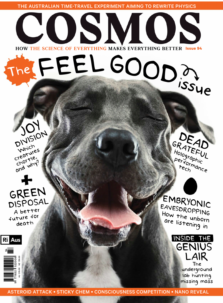THE AUSTRALIAN TIME-TRAVEL EXPERIMENT AIMING TO REWRITE PHYSICS

## COSMOS The FEEL GOOD? HOW THE SCIENCE OF EVERYTHING MAKES EVERYTHING BETTER Issue 94



GREEN A better future for death



EMBRYONIC EAVESDROPPING How the unborn are listening in

GRATEAD

Performance



AU \$15.00 NZ \$16.00 522008 771832

σ.

**Ri** Aus

ASTEROID ATTACK . STICKY CHEM . CONSCIOUSNESS COMPETITION . NANO REVEAL